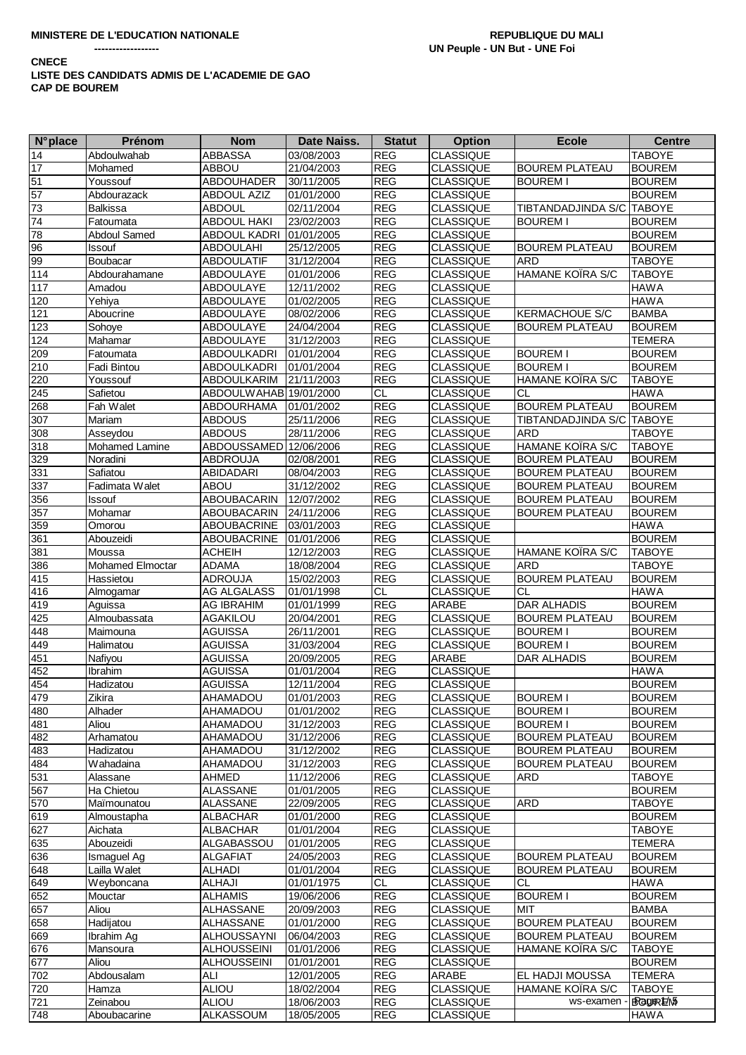#### **CNECE** LISTE DES CANDIDATS ADMIS DE L'ACADEMIE DE GAO **CAP DE BOUREM**

| <b>N°</b> place  | Prénom                | <b>Nom</b>             | Date Naiss.              | <b>Statut</b>  | <b>Option</b>             | <b>Ecole</b>              | <b>Centre</b> |
|------------------|-----------------------|------------------------|--------------------------|----------------|---------------------------|---------------------------|---------------|
| $\overline{14}$  | Abdoulwahab           | <b>ABBASSA</b>         | 03/08/2003               | <b>REG</b>     | <b>CLASSIQUE</b>          |                           | <b>TABOYE</b> |
| 17               | Mohamed               | <b>ABBOU</b>           | 21/04/2003               | <b>REG</b>     | <b>CLASSIQUE</b>          | <b>BOUREM PLATEAU</b>     | <b>BOUREM</b> |
|                  | Youssouf              | ABDOUHADER             | 30/11/2005               | <b>REG</b>     | <b>CLASSIQUE</b>          | <b>BOUREM I</b>           | <b>BOUREM</b> |
| $\frac{51}{57}$  | Abdourazack           | <b>ABDOUL AZIZ</b>     | 01/01/2000               | <b>REG</b>     | <b>CLASSIQUE</b>          |                           | <b>BOUREM</b> |
| 73               | <b>Balkissa</b>       | <b>ABDOUL</b>          | 02/11/2004               | <b>REG</b>     | <b>CLASSIQUE</b>          | TIBTANDADJINDA S/C TABOYE |               |
| 74               | Fatoumata             | <b>ABDOUL HAKI</b>     | 23/02/2003               | <b>REG</b>     | <b>CLASSIQUE</b>          | <b>BOUREM I</b>           | <b>BOUREM</b> |
| 78               | <b>Abdoul Samed</b>   | ABDOUL KADRI           | 01/01/2005               | <b>REG</b>     | CLASSIQUE                 |                           | <b>BOUREM</b> |
| 96               | Issouf                | <b>ABDOULAHI</b>       | 25/12/2005               | <b>REG</b>     | <b>CLASSIQUE</b>          | <b>BOUREM PLATEAU</b>     | <b>BOUREM</b> |
| 99               | Boubacar              | <b>ABDOULATIF</b>      | 31/12/2004               | <b>REG</b>     | <b>CLASSIQUE</b>          | <b>ARD</b>                | <b>TABOYE</b> |
| 114              | Abdourahamane         | ABDOULAYE              | 01/01/2006               | <b>REG</b>     | <b>CLASSIQUE</b>          | <b>HAMANE KOIRA S/C</b>   | <b>TABOYE</b> |
| 117              | Amadou                | <b>ABDOULAYE</b>       | 12/11/2002               | <b>REG</b>     | CLASSIQUE                 |                           | <b>HAWA</b>   |
|                  |                       |                        |                          |                | <b>CLASSIQUE</b>          |                           | <b>HAWA</b>   |
| 120              | Yehiya                | ABDOULAYE              | 01/02/2005               | <b>REG</b>     |                           |                           |               |
| $\overline{121}$ | Aboucrine             | <b>ABDOULAYE</b>       | 08/02/2006               | <b>REG</b>     | <b>CLASSIQUE</b>          | <b>KERMACHOUE S/C</b>     | <b>BAMBA</b>  |
| 123              | Sohoye                | ABDOULAYE              | 24/04/2004               | <b>REG</b>     | <b>CLASSIQUE</b>          | <b>BOUREM PLATEAU</b>     | <b>BOUREM</b> |
| 124              | Mahamar               | ABDOULAYE              | 31/12/2003               | <b>REG</b>     | <b>CLASSIQUE</b>          |                           | <b>TEMERA</b> |
| 209              | Fatoumata             | ABDOULKADRI            | 01/01/2004               | <b>REG</b>     | <b>CLASSIQUE</b>          | <b>BOUREM I</b>           | <b>BOUREM</b> |
| 210              | Fadi Bintou           | ABDOULKADRI            | 01/01/2004               | <b>REG</b>     | <b>CLASSIQUE</b>          | <b>BOUREM I</b>           | <b>BOUREM</b> |
| 220              | Youssouf              | ABDOULKARIM            | 21/11/2003               | <b>REG</b>     | <b>CLASSIQUE</b>          | HAMANE KOIRA S/C          | <b>TABOYE</b> |
| 245              | Safietou              | ABDOULWAHAB 19/01/2000 |                          | <b>CL</b>      | <b>CLASSIQUE</b>          | <b>CL</b>                 | <b>HAWA</b>   |
| 268              | Fah Walet             | ABDOURHAMA             | 01/01/2002               | <b>REG</b>     | <b>CLASSIQUE</b>          | <b>BOUREM PLATEAU</b>     | <b>BOUREM</b> |
| 307              | Mariam                | <b>ABDOUS</b>          | 25/11/2006               | <b>REG</b>     | <b>CLASSIQUE</b>          | TIBTANDADJINDA S/C        | <b>TABOYE</b> |
| 308              | Asseydou              | <b>ABDOUS</b>          | 28/11/2006               | REG            | <b>CLASSIQUE</b>          | <b>ARD</b>                | <b>TABOYE</b> |
| 318              | Mohamed Lamine        | ABDOUSSAMED 12/06/2006 |                          | <b>REG</b>     | <b>CLASSIQUE</b>          | HAMANE KOIRA S/C          | <b>TABOYE</b> |
| 329              | Noradini              | ABDROUJA               | 02/08/2001               | <b>REG</b>     | CLASSIQUE                 | <b>BOUREM PLATEAU</b>     | <b>BOUREM</b> |
| 331              | Safiatou              | <b>ABIDADARI</b>       | 08/04/2003               | <b>REG</b>     | <b>CLASSIQUE</b>          | <b>BOUREM PLATEAU</b>     | <b>BOUREM</b> |
| 337              | Fadimata Walet        | <b>ABOU</b>            | 31/12/2002               | <b>REG</b>     | <b>CLASSIQUE</b>          | <b>BOUREM PLATEAU</b>     | <b>BOUREM</b> |
| 356              | Issouf                | <b>ABOUBACARIN</b>     | 12/07/2002               | <b>REG</b>     | <b>CLASSIQUE</b>          | <b>BOUREM PLATEAU</b>     | <b>BOUREM</b> |
| 357              | Mohamar               | ABOUBACARIN            | 24/11/2006               | <b>REG</b>     | <b>CLASSIQUE</b>          | <b>BOUREM PLATEAU</b>     | <b>BOUREM</b> |
| 359              | Omorou                | ABOUBACRINE            | 03/01/2003               | <b>REG</b>     | <b>CLASSIQUE</b>          |                           | <b>HAWA</b>   |
| 361              | Abouzeidi             | ABOUBACRINE            | 01/01/2006               | <b>REG</b>     | <b>CLASSIQUE</b>          |                           | <b>BOUREM</b> |
| 381              | Moussa                | <b>ACHEIH</b>          | 12/12/2003               | <b>REG</b>     | <b>CLASSIQUE</b>          | HAMANE KOÏRA S/C          | <b>TABOYE</b> |
| 386              | Mohamed Elmoctar      | <b>ADAMA</b>           | 18/08/2004               | <b>REG</b>     | CLASSIQUE                 | <b>ARD</b>                | <b>TABOYE</b> |
| 415              | Hassietou             | ADROUJA                | 15/02/2003               | <b>REG</b>     | <b>CLASSIQUE</b>          | <b>BOUREM PLATEAU</b>     | <b>BOUREM</b> |
| 416              | Almogamar             | AG ALGALASS            | 01/01/1998               | $\overline{c}$ | <b>CLASSIQUE</b>          | <b>CL</b>                 | <b>HAWA</b>   |
| 419              | Aguissa               | <b>AG IBRAHIM</b>      | 01/01/1999               | <b>REG</b>     | ARABE                     | <b>DAR ALHADIS</b>        | <b>BOUREM</b> |
| 425              | Almoubassata          | <b>AGAKILOU</b>        | 20/04/2001               | <b>REG</b>     | <b>CLASSIQUE</b>          | <b>BOUREM PLATEAU</b>     | <b>BOUREM</b> |
| 448              |                       | <b>AGUISSA</b>         | 26/11/2001               | <b>REG</b>     | <b>CLASSIQUE</b>          | <b>BOUREM I</b>           | <b>BOUREM</b> |
|                  | Maimouna<br>Halimatou |                        |                          | <b>REG</b>     | <b>CLASSIQUE</b>          | <b>BOUREM I</b>           | <b>BOUREM</b> |
| 449              |                       | <b>AGUISSA</b>         | 31/03/2004<br>20/09/2005 |                |                           |                           |               |
| 451              | Nafiyou               | <b>AGUISSA</b>         |                          | <b>REG</b>     | ARABE<br><b>CLASSIQUE</b> | <b>DAR ALHADIS</b>        | <b>BOUREM</b> |
| 452              | Ibrahim               | <b>AGUISSA</b>         | 01/01/2004               | <b>REG</b>     |                           |                           | <b>HAWA</b>   |
| 454              | Hadizatou             | <b>AGUISSA</b>         | 12/11/2004               | <b>REG</b>     | <b>CLASSIQUE</b>          |                           | <b>BOUREM</b> |
| 479              | Zikira                | <b>UOQAMAHA</b>        | 01/01/2003               | <b>REG</b>     | <b>CLASSIQUE</b>          | <b>BOUREM I</b>           | <b>BOUREM</b> |
| 480              | Alhader               | <b>AHAMADOU</b>        | 01/01/2002               | <b>REG</b>     | <b>CLASSIQUE</b>          | <b>BOUREM I</b>           | <b>BOUREM</b> |
| 481              | Aliou                 | AHAMADOU               | 31/12/2003               | REG            | <b>CLASSIQUE</b>          | <b>BOUREM I</b>           | <b>BOUREM</b> |
| 482              | Arhamatou             | <b>AHAMADOU</b>        | 31/12/2006               | REG            | <b>CLASSIQUE</b>          | <b>BOUREM PLATEAU</b>     | <b>BOUREM</b> |
| 483              | Hadizatou             | AHAMADOU               | 31/12/2002               | REG            | <b>CLASSIQUE</b>          | <b>BOUREM PLATEAU</b>     | <b>BOUREM</b> |
| 484              | Wahadaina             | AHAMADOU               | 31/12/2003               | <b>REG</b>     | <b>CLASSIQUE</b>          | <b>BOUREM PLATEAU</b>     | <b>BOUREM</b> |
| 531              | Alassane              | AHMED                  | 11/12/2006               | REG            | CLASSIQUE                 | ARD                       | <b>TABOYE</b> |
| 567              | Ha Chietou            | <b>ALASSANE</b>        | 01/01/2005               | REG            | <b>CLASSIQUE</b>          |                           | <b>BOUREM</b> |
| 570              | Maïmounatou           | <b>ALASSANE</b>        | 22/09/2005               | REG            | CLASSIQUE                 | <b>ARD</b>                | <b>TABOYE</b> |
| 619              | Almoustapha           | <b>ALBACHAR</b>        | 01/01/2000               | <b>REG</b>     | <b>CLASSIQUE</b>          |                           | <b>BOUREM</b> |
| 627              | Aichata               | <b>ALBACHAR</b>        | 01/01/2004               | REG            | CLASSIQUE                 |                           | <b>TABOYE</b> |
| 635              | Abouzeidi             | ALGABASSOU             | 01/01/2005               | <b>REG</b>     | <b>CLASSIQUE</b>          |                           | <b>TEMERA</b> |
| 636              | Ismaguel Ag           | <b>ALGAFIAT</b>        | 24/05/2003               | <b>REG</b>     | <b>CLASSIQUE</b>          | <b>BOUREM PLATEAU</b>     | <b>BOUREM</b> |
| 648              | Lailla Walet          | <b>ALHADI</b>          | 01/01/2004               | <b>REG</b>     | <b>CLASSIQUE</b>          | <b>BOUREM PLATEAU</b>     | <b>BOUREM</b> |
| 649              | Weyboncana            | ALHAJI                 | 01/01/1975               | CL             | <b>CLASSIQUE</b>          | <b>CL</b>                 | <b>HAWA</b>   |
| 652              | Mouctar               | <b>ALHAMIS</b>         | 19/06/2006               | <b>REG</b>     | CLASSIQUE                 | <b>BOUREM I</b>           | <b>BOUREM</b> |
| 657              | Aliou                 | ALHASSANE              | 20/09/2003               | REG            | CLASSIQUE                 | MIT                       | <b>BAMBA</b>  |
| 658              | Hadijatou             | <b>ALHASSANE</b>       | 01/01/2000               | REG            | <b>CLASSIQUE</b>          | <b>BOUREM PLATEAU</b>     | <b>BOUREM</b> |
| 669              | Ibrahim Ag            | <b>ALHOUSSAYNI</b>     | 06/04/2003               | <b>REG</b>     | <b>CLASSIQUE</b>          | <b>BOUREM PLATEAU</b>     | <b>BOUREM</b> |
| 676              | Mansoura              | <b>ALHOUSSEINI</b>     | 01/01/2006               | <b>REG</b>     | <b>CLASSIQUE</b>          | HAMANE KOIRA S/C          | <b>TABOYE</b> |
| 677              | Aliou                 | <b>ALHOUSSEINI</b>     | 01/01/2001               | <b>REG</b>     | CLASSIQUE                 |                           | <b>BOUREM</b> |
| 702              | Abdousalam            | ALI                    | 12/01/2005               | REG            | <b>ARABE</b>              | EL HADJI MOUSSA           | <b>TEMERA</b> |
| $\overline{7}20$ | Hamza                 | <b>ALIOU</b>           | 18/02/2004               | <b>REG</b>     | <b>CLASSIQUE</b>          | HAMANE KOIRA S/C          | <b>TABOYE</b> |
| 721              | Zeinabou              | <b>ALIOU</b>           | 18/06/2003               | REG            | <b>CLASSIQUE</b>          | ws-examen                 | BRagleR1E/M5  |
|                  |                       | <b>ALKASSOUM</b>       |                          | <b>REG</b>     |                           |                           | <b>HAWA</b>   |
| 748              | Aboubacarine          |                        | 18/05/2005               |                | <b>CLASSIQUE</b>          |                           |               |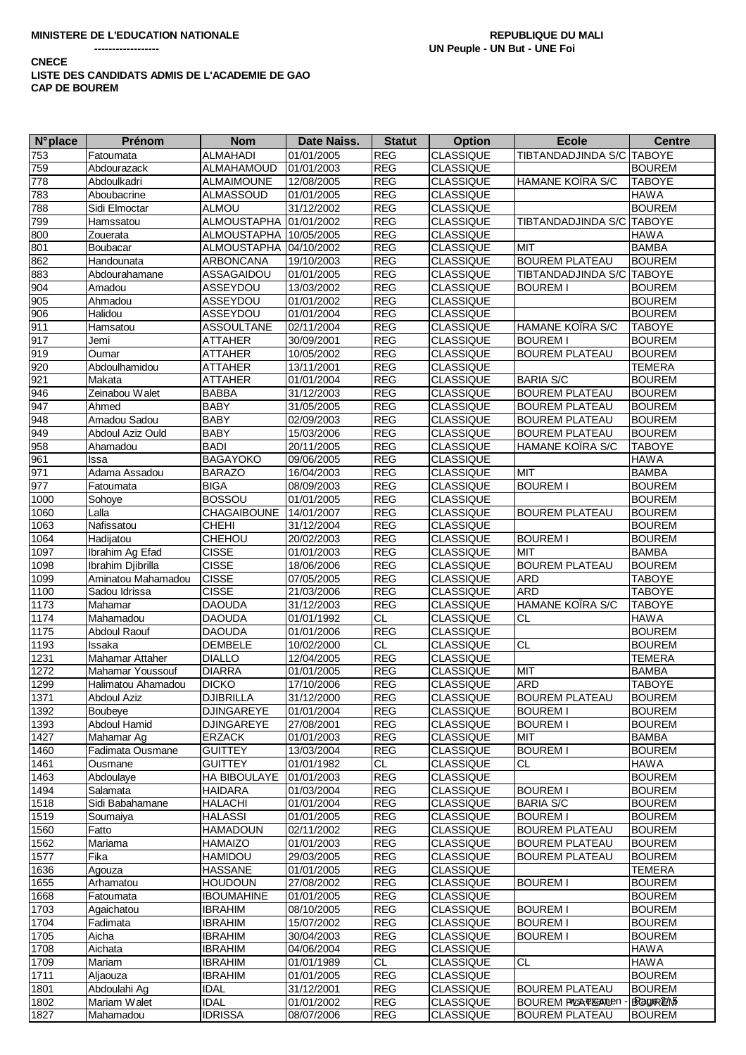**CNECE** 

## LISTE DES CANDIDATS ADMIS DE L'ACADEMIE DE GAO **CAP DE BOUREM**

| $N^{\circ}$ place | <b>Prénom</b>      | <b>Nom</b>             | Date Naiss. | <b>Statut</b> | <b>Option</b>    | <b>Ecole</b>                     | <b>Centre</b> |
|-------------------|--------------------|------------------------|-------------|---------------|------------------|----------------------------------|---------------|
| 753               | Fatoumata          | <b>ALMAHADI</b>        | 01/01/2005  | <b>REG</b>    | <b>CLASSIQUE</b> | TIBTANDADJINDA S/C TABOYE        |               |
| 759               | Abdourazack        | ALMAHAMOUD             | 01/01/2003  | <b>REG</b>    | <b>CLASSIQUE</b> |                                  | <b>BOUREM</b> |
| 778               | Abdoulkadri        | <b>ALMAIMOUNE</b>      | 12/08/2005  | <b>REG</b>    | <b>CLASSIQUE</b> | <b>HAMANE KOIRA S/C</b>          | <b>TABOYE</b> |
| 783               | Aboubacrine        | ALMASSOUD              | 01/01/2005  | <b>REG</b>    | <b>CLASSIQUE</b> |                                  | <b>HAWA</b>   |
| 788               |                    | <b>ALMOU</b>           | 31/12/2002  |               | <b>CLASSIQUE</b> |                                  |               |
|                   | Sidi Elmoctar      |                        |             | <b>REG</b>    |                  |                                  | <b>BOUREM</b> |
| 799               | Hamssatou          | <b>ALMOUSTAPHA</b>     | 01/01/2002  | <b>REG</b>    | <b>CLASSIQUE</b> | TIBTANDADJINDA S/C TABOYE        |               |
| 800               | Zouerata           | ALMOUSTAPHA 10/05/2005 |             | <b>REG</b>    | <b>CLASSIQUE</b> |                                  | <b>HAWA</b>   |
| 801               | Boubacar           | ALMOUSTAPHA 04/10/2002 |             | <b>REG</b>    | <b>CLASSIQUE</b> | <b>MIT</b>                       | <b>BAMBA</b>  |
| 862               | Handounata         | <b>ARBONCANA</b>       | 19/10/2003  | <b>REG</b>    | <b>CLASSIQUE</b> | <b>BOUREM PLATEAU</b>            | <b>BOUREM</b> |
| 883               | Abdourahamane      | ASSAGAIDOU             | 01/01/2005  | <b>REG</b>    | CLASSIQUE        | TIBTANDADJINDA S/C TABOYE        |               |
| 904               | Amadou             | ASSEYDOU               | 13/03/2002  | <b>REG</b>    | <b>CLASSIQUE</b> | <b>BOUREM I</b>                  | <b>BOUREM</b> |
| 905               | Ahmadou            | ASSEYDOU               | 01/01/2002  | <b>REG</b>    | <b>CLASSIQUE</b> |                                  | <b>BOUREM</b> |
| 906               | Halidou            | ASSEYDOU               | 01/01/2004  | <b>REG</b>    | <b>CLASSIQUE</b> |                                  | <b>BOUREM</b> |
| 911               | Hamsatou           | <b>ASSOULTANE</b>      | 02/11/2004  | <b>REG</b>    | <b>CLASSIQUE</b> | HAMANE KOIRA S/C                 | <b>TABOYE</b> |
| 917               |                    |                        |             |               |                  |                                  |               |
|                   | Jemi               | <b>ATTAHER</b>         | 30/09/2001  | <b>REG</b>    | <b>CLASSIQUE</b> | <b>BOUREM I</b>                  | <b>BOUREM</b> |
| 919               | Oumar              | <b>ATTAHER</b>         | 10/05/2002  | <b>REG</b>    | <b>CLASSIQUE</b> | <b>BOUREM PLATEAU</b>            | <b>BOUREM</b> |
| 920               | Abdoulhamidou      | <b>ATTAHER</b>         | 13/11/2001  | <b>REG</b>    | <b>CLASSIQUE</b> |                                  | <b>TEMERA</b> |
| 921               | Makata             | <b>ATTAHER</b>         | 01/01/2004  | <b>REG</b>    | <b>CLASSIQUE</b> | <b>BARIA S/C</b>                 | <b>BOUREM</b> |
| 946               | Zeinabou Walet     | <b>BABBA</b>           | 31/12/2003  | <b>REG</b>    | <b>CLASSIQUE</b> | <b>BOUREM PLATEAU</b>            | <b>BOUREM</b> |
| 947               | Ahmed              | <b>BABY</b>            | 31/05/2005  | <b>REG</b>    | <b>CLASSIQUE</b> | <b>BOUREM PLATEAU</b>            | <b>BOUREM</b> |
| 948               | Amadou Sadou       | <b>BABY</b>            | 02/09/2003  | <b>REG</b>    | <b>CLASSIQUE</b> | <b>BOUREM PLATEAU</b>            | <b>BOUREM</b> |
| 949               | Abdoul Aziz Ould   | <b>BABY</b>            | 15/03/2006  | <b>REG</b>    | <b>CLASSIQUE</b> | <b>BOUREM PLATEAU</b>            | <b>BOUREM</b> |
| 958               | Ahamadou           | <b>BADI</b>            | 20/11/2005  | <b>REG</b>    | <b>CLASSIQUE</b> | <b>HAMANE KOIRA S/C</b>          | <b>TABOYE</b> |
| 961               | Issa               | <b>BAGAYOKO</b>        | 09/06/2005  | <b>REG</b>    | <b>CLASSIQUE</b> |                                  | <b>HAWA</b>   |
|                   |                    |                        |             |               |                  |                                  |               |
| 971               | Adama Assadou      | <b>BARAZO</b>          | 16/04/2003  | <b>REG</b>    | <b>CLASSIQUE</b> | <b>MIT</b>                       | <b>BAMBA</b>  |
| 977               | Fatoumata          | <b>BIGA</b>            | 08/09/2003  | <b>REG</b>    | <b>CLASSIQUE</b> | <b>BOUREM I</b>                  | <b>BOUREM</b> |
| 1000              | Sohoye             | <b>BOSSOU</b>          | 01/01/2005  | <b>REG</b>    | <b>CLASSIQUE</b> |                                  | <b>BOUREM</b> |
| 1060              | Lalla              | CHAGAIBOUNE            | 14/01/2007  | <b>REG</b>    | <b>CLASSIQUE</b> | <b>BOUREM PLATEAU</b>            | <b>BOUREM</b> |
| 1063              | Nafissatou         | <b>CHEHI</b>           | 31/12/2004  | <b>REG</b>    | <b>CLASSIQUE</b> |                                  | <b>BOUREM</b> |
| 1064              | Hadijatou          | CHEHOU                 | 20/02/2003  | <b>REG</b>    | <b>CLASSIQUE</b> | <b>BOUREM I</b>                  | <b>BOUREM</b> |
| 1097              | Ibrahim Ag Efad    | <b>CISSE</b>           | 01/01/2003  | <b>REG</b>    | <b>CLASSIQUE</b> | MIT                              | <b>BAMBA</b>  |
| 1098              | Ibrahim Djibrilla  | <b>CISSE</b>           | 18/06/2006  | <b>REG</b>    | <b>CLASSIQUE</b> | <b>BOUREM PLATEAU</b>            | <b>BOUREM</b> |
| 1099              | Aminatou Mahamadou | <b>CISSE</b>           | 07/05/2005  | <b>REG</b>    | CLASSIQUE        | <b>ARD</b>                       | <b>TABOYE</b> |
| 1100              | Sadou Idrissa      | <b>CISSE</b>           | 21/03/2006  | <b>REG</b>    | <b>CLASSIQUE</b> | <b>ARD</b>                       | <b>TABOYE</b> |
| 1173              | Mahamar            | <b>DAOUDA</b>          | 31/12/2003  | <b>REG</b>    | CLASSIQUE        | <b>HAMANE KOIRA S/C</b>          | <b>TABOYE</b> |
|                   |                    |                        |             |               |                  |                                  |               |
| 1174              | Mahamadou          | <b>DAOUDA</b>          | 01/01/1992  | <b>CL</b>     | <b>CLASSIQUE</b> | <b>CL</b>                        | <b>HAWA</b>   |
| 1175              | Abdoul Raouf       | <b>DAOUDA</b>          | 01/01/2006  | <b>REG</b>    | <b>CLASSIQUE</b> |                                  | <b>BOUREM</b> |
| 1193              | Issaka             | <b>DEMBELE</b>         | 10/02/2000  | CL.           | <b>CLASSIQUE</b> | <b>CL</b>                        | <b>BOUREM</b> |
| 1231              | Mahamar Attaher    | <b>DIALLO</b>          | 12/04/2005  | <b>REG</b>    | <b>CLASSIQUE</b> |                                  | <b>TEMERA</b> |
| 1272              | Mahamar Youssouf   | <b>DIARRA</b>          | 01/01/2005  | <b>REG</b>    | <b>CLASSIQUE</b> | MIT                              | <b>BAMBA</b>  |
| 1299              | Halimatou Ahamadou | <b>DICKO</b>           | 17/10/2006  | <b>REG</b>    | <b>CLASSIQUE</b> | <b>ARD</b>                       | <b>TABOYE</b> |
| 1371              | <b>Abdoul Aziz</b> | <b>DJIBRILLA</b>       | 31/12/2000  | <b>REG</b>    | <b>CLASSIQUE</b> | <b>BOUREM PLATEAU</b>            | <b>BOUREM</b> |
| 1392              | Boubeye            | <b>DJINGAREYE</b>      | 01/01/2004  | <b>REG</b>    | <b>CLASSIQUE</b> | <b>BOUREM I</b>                  | <b>BOUREM</b> |
| 1393              | Abdoul Hamid       | <b>DJINGAREYE</b>      | 27/08/2001  | <b>REG</b>    | <b>CLASSIQUE</b> | <b>BOUREM I</b>                  | <b>BOUREM</b> |
| 1427              | Mahamar Ag         | <b>ERZACK</b>          | 01/01/2003  | <b>REG</b>    | <b>CLASSIQUE</b> | <b>MIT</b>                       | <b>BAMBA</b>  |
| 1460              | Fadimata Ousmane   | <b>GUITTEY</b>         | 13/03/2004  | <b>REG</b>    | <b>CLASSIQUE</b> | <b>BOUREM I</b>                  | <b>BOUREM</b> |
|                   |                    |                        |             |               |                  |                                  |               |
| 1461              | Ousmane            | <b>GUITTEY</b>         | 01/01/1982  | CL.           | <b>CLASSIQUE</b> | СL                               | <b>HAWA</b>   |
| 1463              | Abdoulaye          | HA BIBOULAYE           | 01/01/2003  | <b>REG</b>    | <b>CLASSIQUE</b> |                                  | <b>BOUREM</b> |
| 1494              | Salamata           | <b>HAIDARA</b>         | 01/03/2004  | <b>REG</b>    | CLASSIQUE        | <b>BOUREM I</b>                  | <b>BOUREM</b> |
| 1518              | Sidi Babahamane    | <b>HALACHI</b>         | 01/01/2004  | <b>REG</b>    | <b>CLASSIQUE</b> | <b>BARIA S/C</b>                 | <b>BOUREM</b> |
| 1519              | Soumaiya           | <b>HALASSI</b>         | 01/01/2005  | <b>REG</b>    | CLASSIQUE        | <b>BOUREM I</b>                  | <b>BOUREM</b> |
| 1560              | Fatto              | <b>HAMADOUN</b>        | 02/11/2002  | <b>REG</b>    | <b>CLASSIQUE</b> | <b>BOUREM PLATEAU</b>            | <b>BOUREM</b> |
| 1562              | Mariama            | <b>HAMAIZO</b>         | 01/01/2003  | <b>REG</b>    | CLASSIQUE        | <b>BOUREM PLATEAU</b>            | <b>BOUREM</b> |
| 1577              | Fika               | <b>HAMIDOU</b>         | 29/03/2005  | <b>REG</b>    | <b>CLASSIQUE</b> | <b>BOUREM PLATEAU</b>            | <b>BOUREM</b> |
| 1636              | Agouza             | <b>HASSANE</b>         | 01/01/2005  | <b>REG</b>    | <b>CLASSIQUE</b> |                                  | <b>TEMERA</b> |
| 1655              | Arhamatou          | <b>HOUDOUN</b>         | 27/08/2002  | <b>REG</b>    | <b>CLASSIQUE</b> | <b>BOUREM I</b>                  | <b>BOUREM</b> |
| 1668              |                    | <b>IBOUMAHINE</b>      | 01/01/2005  | <b>REG</b>    | <b>CLASSIQUE</b> |                                  | <b>BOUREM</b> |
|                   | Fatoumata          |                        |             |               |                  |                                  |               |
| 1703              | Agaichatou         | <b>IBRAHIM</b>         | 08/10/2005  | <b>REG</b>    | <b>CLASSIQUE</b> | <b>BOUREM I</b>                  | <b>BOUREM</b> |
| 1704              | Fadimata           | <b>IBRAHIM</b>         | 15/07/2002  | <b>REG</b>    | <b>CLASSIQUE</b> | <b>BOUREM I</b>                  | <b>BOUREM</b> |
| 1705              | Aicha              | <b>IBRAHIM</b>         | 30/04/2003  | <b>REG</b>    | <b>CLASSIQUE</b> | <b>BOUREM I</b>                  | <b>BOUREM</b> |
| 1708              | Aichata            | <b>IBRAHIM</b>         | 04/06/2004  | <b>REG</b>    | <b>CLASSIQUE</b> |                                  | <b>HAWA</b>   |
| 1709              | Mariam             | <b>IBRAHIM</b>         | 01/01/1989  | CL            | <b>CLASSIQUE</b> | <b>CL</b>                        | <b>HAWA</b>   |
| 1711              | Aljaouza           | <b>IBRAHIM</b>         | 01/01/2005  | <b>REG</b>    | <b>CLASSIQUE</b> |                                  | <b>BOUREM</b> |
| 1801              | Abdoulahi Ag       | <b>IDAL</b>            | 31/12/2001  | <b>REG</b>    | <b>CLASSIQUE</b> | <b>BOUREM PLATEAU</b>            | <b>BOUREM</b> |
| 1802              | Mariam Walet       | <b>IDAL</b>            | 01/01/2002  | <b>REG</b>    | <b>CLASSIQUE</b> | <b>BOUREM PALSA TEGANILIEN -</b> | BRagleR25/M5  |
| 1827              | Mahamadou          | <b>IDRISSA</b>         | 08/07/2006  | <b>REG</b>    | CLASSIQUE        | <b>BOUREM PLATEAU</b>            | <b>BOUREM</b> |
|                   |                    |                        |             |               |                  |                                  |               |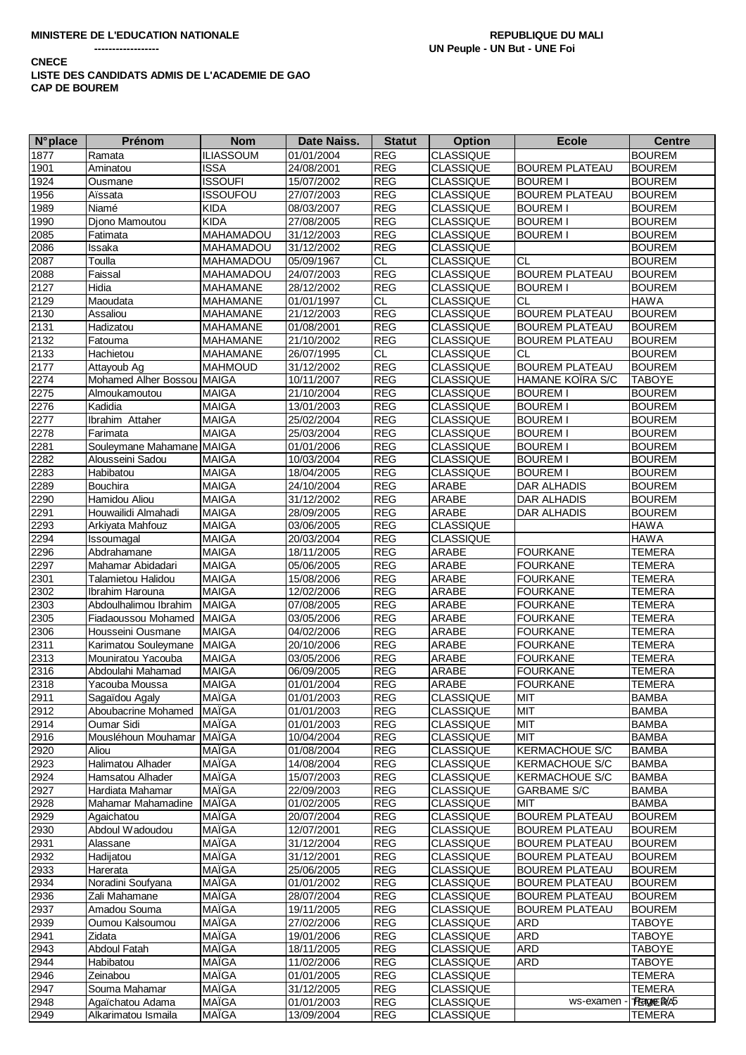### **CNECE** LISTE DES CANDIDATS ADMIS DE L'ACADEMIE DE GAO **CAP DE BOUREM**

| <b>N°</b> place | <b>Prénom</b>              | <b>Nom</b>       | Date Naiss. | <b>Statut</b>   | <b>Option</b>                 | <b>Ecole</b>          | <b>Centre</b>                  |
|-----------------|----------------------------|------------------|-------------|-----------------|-------------------------------|-----------------------|--------------------------------|
| 1877            | Ramata                     | <b>ILIASSOUM</b> | 01/01/2004  | <b>REG</b>      | <b>CLASSIQUE</b>              |                       | <b>BOUREM</b>                  |
| 1901            | Aminatou                   | <b>ISSA</b>      | 24/08/2001  | <b>REG</b>      | <b>CLASSIQUE</b>              | <b>BOUREM PLATEAU</b> | <b>BOUREM</b>                  |
| 1924            | Ousmane                    | <b>ISSOUFI</b>   | 15/07/2002  | <b>REG</b>      | <b>CLASSIQUE</b>              | <b>BOUREM I</b>       | <b>BOUREM</b>                  |
| 1956            | Aïssata                    | <b>ISSOUFOU</b>  | 27/07/2003  | <b>REG</b>      | <b>CLASSIQUE</b>              | <b>BOUREM PLATEAU</b> | <b>BOUREM</b>                  |
| 1989            | Niamé                      | <b>KIDA</b>      | 08/03/2007  | <b>REG</b>      | <b>CLASSIQUE</b>              | <b>BOUREM I</b>       | <b>BOUREM</b>                  |
| 1990            | Djono Mamoutou             | <b>KIDA</b>      | 27/08/2005  | <b>REG</b>      | <b>CLASSIQUE</b>              | <b>BOUREM I</b>       | <b>BOUREM</b>                  |
| 2085            | Fatimata                   | MAHAMADOU        | 31/12/2003  | <b>REG</b>      | <b>CLASSIQUE</b>              | <b>BOUREM I</b>       | <b>BOUREM</b>                  |
| 2086            | Issaka                     | <b>MAHAMADOU</b> | 31/12/2002  | <b>REG</b>      | <b>CLASSIQUE</b>              |                       | <b>BOUREM</b>                  |
| 2087            | Toulla                     | MAHAMADOU        | 05/09/1967  | $\overline{CL}$ | <b>CLASSIQUE</b>              | <b>CL</b>             | <b>BOUREM</b>                  |
| 2088            | Faissal                    | MAHAMADOU        | 24/07/2003  | REG             | <b>CLASSIQUE</b>              | <b>BOUREM PLATEAU</b> | <b>BOUREM</b>                  |
| 2127            | Hidia                      | MAHAMANE         | 28/12/2002  | <b>REG</b>      | CLASSIQUE                     | <b>BOUREM I</b>       | <b>BOUREM</b>                  |
| 2129            | Maoudata                   | MAHAMANE         | 01/01/1997  | <b>CL</b>       | <b>CLASSIQUE</b>              | CL                    | <b>HAWA</b>                    |
| 2130            | Assaliou                   | <b>MAHAMANE</b>  | 21/12/2003  | <b>REG</b>      | <b>CLASSIQUE</b>              | <b>BOUREM PLATEAU</b> | <b>BOUREM</b>                  |
| 2131            | Hadizatou                  | MAHAMANE         | 01/08/2001  | <b>REG</b>      | <b>CLASSIQUE</b>              | <b>BOUREM PLATEAU</b> | <b>BOUREM</b>                  |
| 2132            | Fatouma                    | MAHAMANE         | 21/10/2002  | <b>REG</b>      | CLASSIQUE                     | <b>BOUREM PLATEAU</b> | <b>BOUREM</b>                  |
| 2133            | Hachietou                  | MAHAMANE         | 26/07/1995  | <b>CL</b>       | <b>CLASSIQUE</b>              | <b>CL</b>             | <b>BOUREM</b>                  |
| 2177            | Attayoub Ag                | <b>MAHMOUD</b>   | 31/12/2002  | <b>REG</b>      | <b>CLASSIQUE</b>              | <b>BOUREM PLATEAU</b> | <b>BOUREM</b>                  |
| 2274            | Mohamed Alher Bossou MAIGA |                  | 10/11/2007  | <b>REG</b>      | <b>CLASSIQUE</b>              | HAMANE KOIRA S/C      | <b>TABOYE</b>                  |
| 2275            | Almoukamoutou              | <b>MAIGA</b>     | 21/10/2004  | <b>REG</b>      | <b>CLASSIQUE</b>              | <b>BOUREM I</b>       | <b>BOUREM</b>                  |
| 2276            | Kadidia                    | <b>MAIGA</b>     | 13/01/2003  | <b>REG</b>      | <b>CLASSIQUE</b>              | <b>BOUREM I</b>       | <b>BOUREM</b>                  |
| 2277            | Ibrahim Attaher            | <b>MAIGA</b>     | 25/02/2004  | <b>REG</b>      | <b>CLASSIQUE</b>              | <b>BOUREM I</b>       | <b>BOUREM</b>                  |
| 2278            | Farimata                   | <b>MAIGA</b>     | 25/03/2004  | <b>REG</b>      | <b>CLASSIQUE</b>              | <b>BOUREM I</b>       | <b>BOUREM</b>                  |
| 2281            | Souleymane Mahamane MAIGA  |                  | 01/01/2006  | <b>REG</b>      | <b>CLASSIQUE</b>              | <b>BOUREM I</b>       | <b>BOUREM</b>                  |
| 2282            | Alousseini Sadou           | <b>MAIGA</b>     | 10/03/2004  | <b>REG</b>      | <b>CLASSIQUE</b>              | <b>BOUREM I</b>       | <b>BOUREM</b>                  |
| 2283            | Habibatou                  | <b>MAIGA</b>     | 18/04/2005  | <b>REG</b>      | <b>CLASSIQUE</b>              | <b>BOUREM I</b>       | <b>BOUREM</b>                  |
| 2289            | <b>Bouchira</b>            | <b>MAIGA</b>     | 24/10/2004  | <b>REG</b>      | ARABE                         | DAR ALHADIS           | <b>BOUREM</b>                  |
| 2290            | Hamidou Aliou              | <b>MAIGA</b>     | 31/12/2002  | <b>REG</b>      | ARABE                         | <b>DAR ALHADIS</b>    | <b>BOUREM</b>                  |
| 2291            | Houwailidi Almahadi        | <b>MAIGA</b>     | 28/09/2005  | <b>REG</b>      | ARABE                         | DAR ALHADIS           | <b>BOUREM</b>                  |
| 2293            | Arkiyata Mahfouz           | <b>MAIGA</b>     | 03/06/2005  | <b>REG</b>      | <b>CLASSIQUE</b>              |                       | <b>HAWA</b>                    |
| 2294            | Issoumagal                 | <b>MAIGA</b>     | 20/03/2004  | <b>REG</b>      | <b>CLASSIQUE</b>              |                       | <b>HAWA</b>                    |
| 2296            | Abdrahamane                | <b>MAIGA</b>     | 18/11/2005  | <b>REG</b>      | ARABE                         | <b>FOURKANE</b>       | <b>TEMERA</b>                  |
| 2297            | Mahamar Abidadari          | <b>MAIGA</b>     | 05/06/2005  | <b>REG</b>      | ARABE                         | <b>FOURKANE</b>       | <b>TEMERA</b>                  |
| 2301            | Talamietou Halidou         | <b>MAIGA</b>     | 15/08/2006  | <b>REG</b>      | ARABE                         | <b>FOURKANE</b>       | <b>TEMERA</b>                  |
| 2302            | Ibrahim Harouna            | <b>MAIGA</b>     | 12/02/2006  | <b>REG</b>      | ARABE                         | <b>FOURKANE</b>       | <b>TEMERA</b>                  |
| 2303            | Abdoulhalimou Ibrahim      | <b>MAIGA</b>     | 07/08/2005  | <b>REG</b>      | ARABE                         | <b>FOURKANE</b>       | <b>TEMERA</b>                  |
| 2305            | Fiadaoussou Mohamed        | <b>MAIGA</b>     | 03/05/2006  | <b>REG</b>      | ARABE                         | <b>FOURKANE</b>       | <b>TEMERA</b>                  |
| 2306            | Housseini Ousmane          | <b>MAIGA</b>     | 04/02/2006  | <b>REG</b>      | ARABE                         | <b>FOURKANE</b>       | <b>TEMERA</b>                  |
| 2311            | Karimatou Souleymane       | <b>MAIGA</b>     | 20/10/2006  | <b>REG</b>      | ARABE                         | <b>FOURKANE</b>       | <b>TEMERA</b>                  |
| 2313            | Mouniratou Yacouba         | <b>MAIGA</b>     | 03/05/2006  | <b>REG</b>      | ARABE                         | <b>FOURKANE</b>       | <b>TEMERA</b>                  |
| 2316            | Abdoulahi Mahamad          | <b>MAIGA</b>     | 06/09/2005  | <b>REG</b>      | ARABE                         | <b>FOURKANE</b>       | <b>TEMERA</b>                  |
| 2318            | Yacouba Moussa             | <b>MAIGA</b>     | 01/01/2004  | <b>REG</b>      | ARABE                         | <b>FOURKANE</b>       | <b>TEMERA</b>                  |
| 2911            | Sagaïdou Agaly             | <b>MAÏGA</b>     | 01/01/2003  | <b>REG</b>      | <b>CLASSIQUE</b>              | MIT                   | <b>BAMBA</b>                   |
| 2912            | Aboubacrine Mohamed        | MAIGA            | 01/01/2003  | <b>REG</b>      | CLASSIQUE                     | MIT                   | <b>BAMBA</b>                   |
| 2914            | Oumar Sidi                 | <b>MAIGA</b>     | 01/01/2003  | <b>REG</b>      | <b>CLASSIQUE</b>              | MIT                   | <b>BAMBA</b>                   |
| 2916            | Mousléhoun Mouhamar        | <b>MAÏGA</b>     | 10/04/2004  | <b>REG</b>      | <b>CLASSIQUE</b>              | MIT                   | <b>BAMBA</b>                   |
| 2920            | Aliou                      | MAÏGA            | 01/08/2004  | <b>REG</b>      | <b>CLASSIQUE</b>              | <b>KERMACHOUE S/C</b> | <b>BAMBA</b>                   |
| 2923            | Halimatou Alhader          | <b>MAÏGA</b>     | 14/08/2004  | <b>REG</b>      | CLASSIQUE                     | <b>KERMACHOUE S/C</b> | <b>BAMBA</b>                   |
|                 | Hamsatou Alhader           | <b>MAÏGA</b>     | 15/07/2003  | REG             | <b>CLASSIQUE</b>              | <b>KERMACHOUE S/C</b> | <b>BAMBA</b>                   |
| 2924<br>2927    | Hardiata Mahamar           | <b>MAÏGA</b>     | 22/09/2003  | <b>REG</b>      | <b>CLASSIQUE</b>              | <b>GARBAME S/C</b>    | <b>BAMBA</b>                   |
| 2928            | Mahamar Mahamadine         | <b>MAÏGA</b>     | 01/02/2005  | REG             | <b>CLASSIQUE</b>              | MIT                   | <b>BAMBA</b>                   |
| 2929            | Agaichatou                 | MAÏGA            | 20/07/2004  | <b>REG</b>      | <b>CLASSIQUE</b>              | <b>BOUREM PLATEAU</b> | <b>BOUREM</b>                  |
|                 | Abdoul Wadoudou            | MAÏGA            | 12/07/2001  | REG             | <b>CLASSIQUE</b>              | <b>BOUREM PLATEAU</b> | <b>BOUREM</b>                  |
| 2930<br>2931    | Alassane                   | <b>MAÏGA</b>     | 31/12/2004  | REG             | <b>CLASSIQUE</b>              | <b>BOUREM PLATEAU</b> | <b>BOUREM</b>                  |
| 2932            |                            | <b>MAÏGA</b>     |             | <b>REG</b>      |                               |                       |                                |
| 2933            | Hadijatou<br>Harerata      | MAÏGA            | 31/12/2001  | <b>REG</b>      | CLASSIQUE<br><b>CLASSIQUE</b> | <b>BOUREM PLATEAU</b> | <b>BOUREM</b><br><b>BOUREM</b> |
|                 |                            |                  | 25/06/2005  |                 |                               | <b>BOUREM PLATEAU</b> |                                |
| 2934            | Noradini Soufyana          | MAÏGA            | 01/01/2002  | REG             | CLASSIQUE                     | <b>BOUREM PLATEAU</b> | <b>BOUREM</b>                  |
| 2936<br>2937    | Zali Mahamane              | <b>MAÏGA</b>     | 28/07/2004  | REG             | <b>CLASSIQUE</b>              | <b>BOUREM PLATEAU</b> | <b>BOUREM</b>                  |
|                 | Amadou Souma               | <b>MAÏGA</b>     | 19/11/2005  | <b>REG</b>      | CLASSIQUE                     | <b>BOUREM PLATEAU</b> | <b>BOUREM</b>                  |
| 2939            | Oumou Kalsoumou            | <b>MAÏGA</b>     | 27/02/2006  | <b>REG</b>      | <b>CLASSIQUE</b>              | <b>ARD</b>            | <b>TABOYE</b>                  |
| 2941            | Zidata                     | <b>MAÏGA</b>     | 19/01/2006  | <b>REG</b>      | <b>CLASSIQUE</b>              | ARD                   | <b>TABOYE</b>                  |
| 2943            | Abdoul Fatah               | <b>MAÏGA</b>     | 18/11/2005  | <b>REG</b>      | CLASSIQUE                     | <b>ARD</b>            | <b>TABOYE</b>                  |
| 2944            | Habibatou                  | <b>MAÏGA</b>     | 11/02/2006  | REG             | <b>CLASSIQUE</b>              | <b>ARD</b>            | <b>TABOYE</b>                  |
| 2946            | Zeinabou                   | <b>MAÏGA</b>     | 01/01/2005  | REG             | <b>CLASSIQUE</b>              |                       | <b>TEMERA</b>                  |
| 2947            | Souma Mahamar              | <b>MAÏGA</b>     | 31/12/2005  | <b>REG</b>      | CLASSIQUE                     |                       | <b>TEMERA</b>                  |
| 2948            | Agaïchatou Adama           | <b>MAÏGA</b>     | 01/01/2003  | <b>REG</b>      | <b>CLASSIQUE</b>              | ws-examen             | <b>TEEIGNE B</b> /A5           |
| 2949            | Alkarimatou Ismaila        | <b>MAÏGA</b>     | 13/09/2004  | <b>REG</b>      | CLASSIQUE                     |                       | <b>TEMERA</b>                  |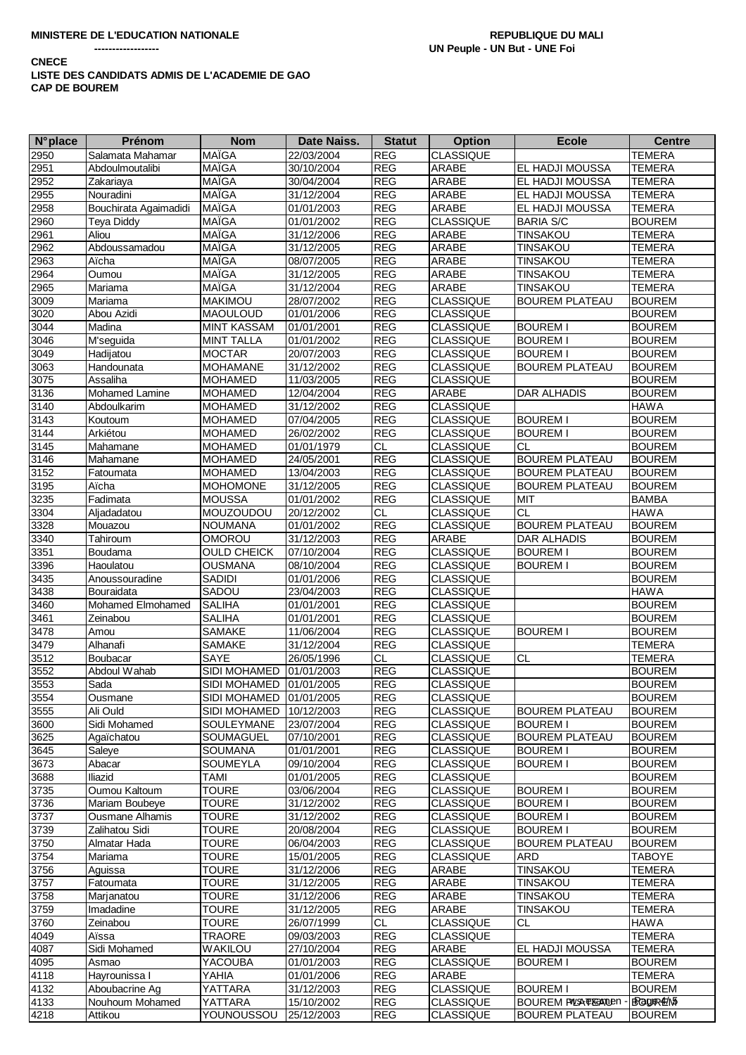**CNECE** 

# LISTE DES CANDIDATS ADMIS DE L'ACADEMIE DE GAO **CAP DE BOUREM**

| <b>N°</b> place  | Prénom                | <b>Nom</b>                | Date Naiss. | <b>Statut</b> | <b>Option</b>    | <b>Ecole</b>                 | <b>Centre</b> |
|------------------|-----------------------|---------------------------|-------------|---------------|------------------|------------------------------|---------------|
| 2950             | Salamata Mahamar      | <b>MAÏGA</b>              | 22/03/2004  | <b>REG</b>    | <b>CLASSIQUE</b> |                              | <b>TEMERA</b> |
| 2951             | Abdoulmoutalibi       | <b>MAÏGA</b>              | 30/10/2004  | <b>REG</b>    | ARABE            | EL HADJI MOUSSA              | <b>TEMERA</b> |
| 2952             | Zakariaya             | <b>MAÏGA</b>              | 30/04/2004  | <b>REG</b>    | ARABE            | EL HADJI MOUSSA              | <b>TEMERA</b> |
| 2955             | Nouradini             | <b>MAÏGA</b>              | 31/12/2004  | <b>REG</b>    | ARABE            | EL HADJI MOUSSA              | <b>TEMERA</b> |
| 2958             | Bouchirata Agaimadidi | <b>MAÏGA</b>              | 01/01/2003  | <b>REG</b>    | <b>ARABE</b>     | EL HADJI MOUSSA              | <b>TEMERA</b> |
| 2960             | <b>Teya Diddy</b>     | <b>MAÏGA</b>              | 01/01/2002  | <b>REG</b>    | <b>CLASSIQUE</b> | <b>BARIA S/C</b>             | <b>BOUREM</b> |
| 2961             | Aliou                 | MAÏGA                     | 31/12/2006  | <b>REG</b>    | ARABE            | <b>TINSAKOU</b>              | <b>TEMERA</b> |
| 2962             | Abdoussamadou         | <b>MAÏGA</b>              | 31/12/2005  | <b>REG</b>    | ARABE            | <b>TINSAKOU</b>              | <b>TEMERA</b> |
| 2963             | Aïcha                 | <b>MAÏGA</b>              | 08/07/2005  | <b>REG</b>    | <b>ARABE</b>     | <b>TINSAKOU</b>              | <b>TEMERA</b> |
| 2964             | Oumou                 | <b>MAÏGA</b>              | 31/12/2005  | <b>REG</b>    | ARABE            | TINSAKOU                     | <b>TEMERA</b> |
| 2965             | Mariama               | MAÏGA                     | 31/12/2004  | <b>REG</b>    | ARABE            | <b>TINSAKOU</b>              | <b>TEMERA</b> |
| 3009             | Mariama               | <b>MAKIMOU</b>            | 28/07/2002  | <b>REG</b>    | <b>CLASSIQUE</b> | <b>BOUREM PLATEAU</b>        | <b>BOUREM</b> |
| 3020             | Abou Azidi            | <b>MAOULOUD</b>           | 01/01/2006  | <b>REG</b>    | <b>CLASSIQUE</b> |                              | <b>BOUREM</b> |
| 3044             | Madina                | <b>MINT KASSAM</b>        | 01/01/2001  | <b>REG</b>    | <b>CLASSIQUE</b> | <b>BOUREM I</b>              | <b>BOUREM</b> |
| 3046             | M'seguida             | <b>MINT TALLA</b>         | 01/01/2002  | <b>REG</b>    | <b>CLASSIQUE</b> | <b>BOUREM I</b>              | <b>BOUREM</b> |
| 3049             | Hadijatou             | <b>MOCTAR</b>             | 20/07/2003  | <b>REG</b>    | CLASSIQUE        | <b>BOUREM I</b>              | <b>BOUREM</b> |
| 3063             | Handounata            | <b>MOHAMANE</b>           | 31/12/2002  | <b>REG</b>    | <b>CLASSIQUE</b> | <b>BOUREM PLATEAU</b>        | <b>BOUREM</b> |
| 3075             | Assaliha              | <b>MOHAMED</b>            | 11/03/2005  | <b>REG</b>    | <b>CLASSIQUE</b> |                              | <b>BOUREM</b> |
| 3136             | Mohamed Lamine        | <b>MOHAMED</b>            | 12/04/2004  | <b>REG</b>    | <b>ARABE</b>     | <b>DAR ALHADIS</b>           | <b>BOUREM</b> |
| 3140             | Abdoulkarim           | <b>MOHAMED</b>            | 31/12/2002  | REG           | <b>CLASSIQUE</b> |                              | <b>HAWA</b>   |
| 3143             | Koutoum               | <b>MOHAMED</b>            | 07/04/2005  | REG           | <b>CLASSIQUE</b> | <b>BOUREM I</b>              | <b>BOUREM</b> |
| $\frac{1}{3144}$ | Arkiétou              | <b>MOHAMED</b>            | 26/02/2002  | REG           | <b>CLASSIQUE</b> | <b>BOUREM I</b>              | <b>BOUREM</b> |
| 3145             | Mahamane              | <b>MOHAMED</b>            | 01/01/1979  | <b>CL</b>     | <b>CLASSIQUE</b> | <b>CL</b>                    | <b>BOUREM</b> |
| 3146             | Mahamane              | <b>MOHAMED</b>            | 24/05/2001  | <b>REG</b>    | CLASSIQUE        | <b>BOUREM PLATEAU</b>        | <b>BOUREM</b> |
| $3152$           | Fatoumata             | <b>MOHAMED</b>            | 13/04/2003  | <b>REG</b>    | <b>CLASSIQUE</b> | <b>BOUREM PLATEAU</b>        | <b>BOUREM</b> |
| 3195             | Aïcha                 | <b>MOHOMONE</b>           | 31/12/2005  | <b>REG</b>    | <b>CLASSIQUE</b> | <b>BOUREM PLATEAU</b>        | <b>BOUREM</b> |
| 3235             | Fadimata              | <b>MOUSSA</b>             | 01/01/2002  | <b>REG</b>    | <b>CLASSIQUE</b> | <b>MIT</b>                   | <b>BAMBA</b>  |
| 3304             | Aljadadatou           | MOUZOUDOU                 | 20/12/2002  | CL            | <b>CLASSIQUE</b> | <b>CL</b>                    | <b>HAWA</b>   |
| 3328             | Mouazou               | <b>NOUMANA</b>            | 01/01/2002  | <b>REG</b>    | CLASSIQUE        | <b>BOUREM PLATEAU</b>        | <b>BOUREM</b> |
| 3340             | Tahiroum              | OMOROU                    | 31/12/2003  | <b>REG</b>    | ARABE            | <b>DAR ALHADIS</b>           | <b>BOUREM</b> |
| 3351             | Boudama               | <b>OULD CHEICK</b>        | 07/10/2004  | <b>REG</b>    | <b>CLASSIQUE</b> | <b>BOUREM I</b>              | <b>BOUREM</b> |
| 3396             | Haoulatou             | <b>OUSMANA</b>            | 08/10/2004  | <b>REG</b>    | CLASSIQUE        | <b>BOUREM I</b>              | <b>BOUREM</b> |
| 3435             | Anoussouradine        | <b>SADIDI</b>             | 01/01/2006  | <b>REG</b>    | CLASSIQUE        |                              | <b>BOUREM</b> |
| 3438             | Bouraidata            | SADOU                     | 23/04/2003  | <b>REG</b>    | <b>CLASSIQUE</b> |                              | <b>HAWA</b>   |
| 3460             | Mohamed Elmohamed     | <b>SALIHA</b>             | 01/01/2001  | <b>REG</b>    | <b>CLASSIQUE</b> |                              | <b>BOUREM</b> |
| 3461             | Zeinabou              | <b>SALIHA</b>             | 01/01/2001  | <b>REG</b>    | <b>CLASSIQUE</b> |                              | <b>BOUREM</b> |
| 3478             | Amou                  | SAMAKE                    | 11/06/2004  | <b>REG</b>    | <b>CLASSIQUE</b> | <b>BOUREM I</b>              | <b>BOUREM</b> |
| 3479             | Alhanafi              | <b>SAMAKE</b>             | 31/12/2004  | <b>REG</b>    | <b>CLASSIQUE</b> |                              | <b>TEMERA</b> |
| 3512             | Boubacar              | SAYE                      | 26/05/1996  | <b>CL</b>     | <b>CLASSIQUE</b> | <b>CL</b>                    | <b>TEMERA</b> |
| 3552             | Abdoul Wahab          | SIDI MOHAMED              | 01/01/2003  | <b>REG</b>    | <b>CLASSIQUE</b> |                              | <b>BOUREM</b> |
| 3553             | Sada                  | <b>SIDI MOHAMED</b>       | 01/01/2005  | <b>REG</b>    | <b>CLASSIQUE</b> |                              | <b>BOUREM</b> |
| 3554             | Ousmane               | SIDI MOHAMED 01/01/2005   |             | REG           | <b>CLASSIQUE</b> |                              | <b>BOUREM</b> |
| 3555             | Ali Ould              | SIDI MOHAMED   10/12/2003 |             | <b>REG</b>    | <b>CLASSIQUE</b> | <b>BOUREM PLATEAU</b>        | <b>BOUREM</b> |
| 3600             | Sidi Mohamed          | SOULEYMANE                | 23/07/2004  | <b>REG</b>    | <b>CLASSIQUE</b> | <b>BOUREM I</b>              | <b>BOUREM</b> |
| 3625             | Agaïchatou            | SOUMAGUEL                 | 07/10/2001  | <b>REG</b>    | <b>CLASSIQUE</b> | <b>BOUREM PLATEAU</b>        | <b>BOUREM</b> |
| 3645             | Saleye                | SOUMANA                   | 01/01/2001  | <b>REG</b>    | <b>CLASSIQUE</b> | <b>BOUREM I</b>              | <b>BOUREM</b> |
| 3673             | Abacar                | <b>SOUMEYLA</b>           | 09/10/2004  | <b>REG</b>    | <b>CLASSIQUE</b> | <b>BOUREM I</b>              | <b>BOUREM</b> |
| 3688             | <b>Iliazid</b>        | <b>TAMI</b>               | 01/01/2005  | <b>REG</b>    | <b>CLASSIQUE</b> |                              | <b>BOUREM</b> |
| 3735             | Oumou Kaltoum         | <b>TOURE</b>              | 03/06/2004  | <b>REG</b>    | <b>CLASSIQUE</b> | <b>BOUREM I</b>              | <b>BOUREM</b> |
| 3736             | Mariam Boubeye        | <b>TOURE</b>              | 31/12/2002  | <b>REG</b>    | <b>CLASSIQUE</b> | <b>BOUREM I</b>              | <b>BOUREM</b> |
| 3737             | Ousmane Alhamis       | <b>TOURE</b>              | 31/12/2002  | <b>REG</b>    | <b>CLASSIQUE</b> | <b>BOUREM I</b>              | <b>BOUREM</b> |
| 3739             | Zalihatou Sidi        | <b>TOURE</b>              | 20/08/2004  | <b>REG</b>    | <b>CLASSIQUE</b> | <b>BOUREM I</b>              | <b>BOUREM</b> |
| 3750             | Almatar Hada          | <b>TOURE</b>              | 06/04/2003  | <b>REG</b>    | <b>CLASSIQUE</b> | <b>BOUREM PLATEAU</b>        | <b>BOUREM</b> |
| 3754             | Mariama               | <b>TOURE</b>              | 15/01/2005  | <b>REG</b>    | <b>CLASSIQUE</b> | <b>ARD</b>                   | <b>TABOYE</b> |
| 3756             | Aguissa               | <b>TOURE</b>              | 31/12/2006  | <b>REG</b>    | ARABE            | TINSAKOU                     | <b>TEMERA</b> |
| 3757             | Fatoumata             | <b>TOURE</b>              | 31/12/2005  | <b>REG</b>    | ARABE            | TINSAKOU                     | <b>TEMERA</b> |
| 3758             | Marjanatou            | <b>TOURE</b>              | 31/12/2006  | <b>REG</b>    | ARABE            | <b>TINSAKOU</b>              | <b>TEMERA</b> |
| 3759             | Imadadine             | <b>TOURE</b>              | 31/12/2005  | <b>REG</b>    | ARABE            | <b>TINSAKOU</b>              | <b>TEMERA</b> |
| 3760             | Zeinabou              | <b>TOURE</b>              | 26/07/1999  | <b>CL</b>     | <b>CLASSIQUE</b> | <b>CL</b>                    | <b>HAWA</b>   |
| 4049             | Aïssa                 | TRAORE                    | 09/03/2003  | <b>REG</b>    | <b>CLASSIQUE</b> |                              | <b>TEMERA</b> |
| 4087             | Sidi Mohamed          | WAKILOU                   | 27/10/2004  | <b>REG</b>    | ARABE            | <b>EL HADJI MOUSSA</b>       | <b>TEMERA</b> |
| 4095             | Asmao                 | YACOUBA                   | 01/01/2003  | <b>REG</b>    | <b>CLASSIQUE</b> | <b>BOUREM I</b>              | <b>BOUREM</b> |
| 4118             | Hayrounissa I         | YAHIA                     | 01/01/2006  | <b>REG</b>    | ARABE            |                              | <b>TEMERA</b> |
| 4132             | Aboubacrine Ag        | YATTARA                   | 31/12/2003  | <b>REG</b>    | <b>CLASSIQUE</b> | <b>BOUREM I</b>              | <b>BOUREM</b> |
| 4133             | Nouhoum Mohamed       | YATTARA                   | 15/10/2002  | <b>REG</b>    | <b>CLASSIQUE</b> | <b>BOUREM PALSA TEGANDEN</b> | BRagleR4E/M5  |
|                  | Attikou               | YOUNOUSSOU                |             | <b>REG</b>    |                  |                              |               |
| 4218             |                       |                           | 25/12/2003  |               | <b>CLASSIQUE</b> | <b>BOUREM PLATEAU</b>        | <b>BOUREM</b> |